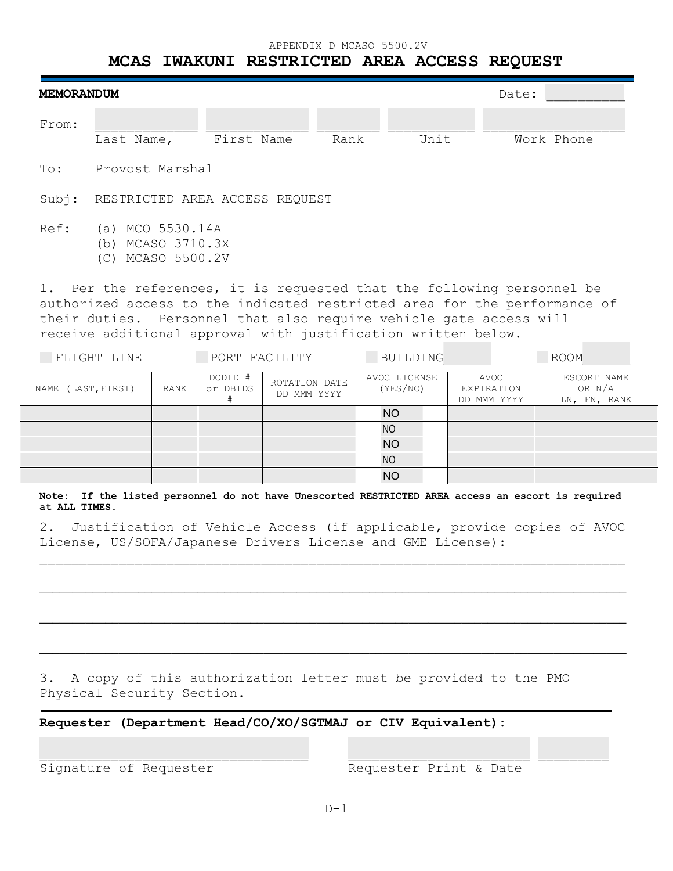## APPENDIX D MCASO 5500.2V

## **MCAS IWAKUNI RESTRICTED AREA ACCESS REQUEST**

| Date:<br><b>MEMORANDUM</b> |            |            |      |      |            |  |  |
|----------------------------|------------|------------|------|------|------------|--|--|
| From:                      | Last Name, | First Name | Rank | Unit | Work Phone |  |  |

To: Provost Marshal

Subj: RESTRICTED AREA ACCESS REQUEST

- Ref: (a) MCO 5530.14A
	- (b) MCASO 3710.3X
	- (C) MCASO 5500.2V

1. Per the references, it is requested that the following personnel be authorized access to the indicated restricted area for the performance of their duties. Personnel that also require vehicle gate access will receive additional approval with justification written below.

| FLIGHT LINE           |      | PORT FACILITY       |                              | <b>BUILDING</b>          |                                   | <b>ROOM</b>                           |  |
|-----------------------|------|---------------------|------------------------------|--------------------------|-----------------------------------|---------------------------------------|--|
| (LAST, FIRST)<br>NAME | RANK | DODID #<br>or DBIDS | ROTATION DATE<br>DD MMM YYYY | AVOC LICENSE<br>(YES/NO) | AVOC<br>EXPIRATION<br>DD MMM YYYY | ESCORT NAME<br>OR N/A<br>LN, FN, RANK |  |
|                       |      |                     |                              | <b>NO</b>                |                                   |                                       |  |
|                       |      |                     |                              | N <sub>O</sub>           |                                   |                                       |  |
|                       |      |                     |                              | <b>NO</b>                |                                   |                                       |  |
|                       |      |                     |                              | N <sub>O</sub>           |                                   |                                       |  |
|                       |      |                     |                              | <b>NO</b>                |                                   |                                       |  |

**Note: If the listed personnel do not have Unescorted RESTRICTED AREA access an escort is required at ALL TIMES.**

2. Justification of Vehicle Access (if applicable, provide copies of AVOC License, US/SOFA/Japanese Drivers License and GME License):

\_\_\_\_\_\_\_\_\_\_\_\_\_\_\_\_\_\_\_\_\_\_\_\_\_\_\_\_\_\_\_\_\_\_\_\_\_\_\_\_\_\_\_\_\_\_\_\_\_\_\_\_\_\_\_\_\_\_\_\_\_\_\_\_\_\_\_\_\_\_\_\_\_\_\_\_\_\_\_\_\_\_\_\_\_\_\_\_\_

\_\_\_\_\_\_\_\_\_\_\_\_\_\_\_\_\_\_\_\_\_\_\_\_\_\_\_\_\_\_\_\_\_\_\_\_\_\_\_\_\_\_\_\_\_\_\_\_\_\_\_\_\_\_\_\_\_\_\_\_\_\_\_\_\_\_\_\_\_\_\_\_\_\_\_\_\_\_\_\_\_\_\_\_\_\_\_\_\_

\_\_\_\_\_\_\_\_\_\_\_\_\_\_\_\_\_\_\_\_\_\_\_\_\_\_\_\_\_\_\_\_\_\_\_\_\_\_\_\_\_\_\_\_\_\_\_\_\_\_\_\_\_\_\_\_\_\_\_\_\_\_\_\_\_\_\_\_\_\_\_\_\_\_\_\_\_\_\_\_\_\_\_\_\_\_\_\_\_

3. A copy of this authorization letter must be provided to the PMO Physical Security Section.

**Requester (Department Head/CO/XO/SGTMAJ or CIV Equivalent):**

Signature of Requester Manuel Requester Print & Date